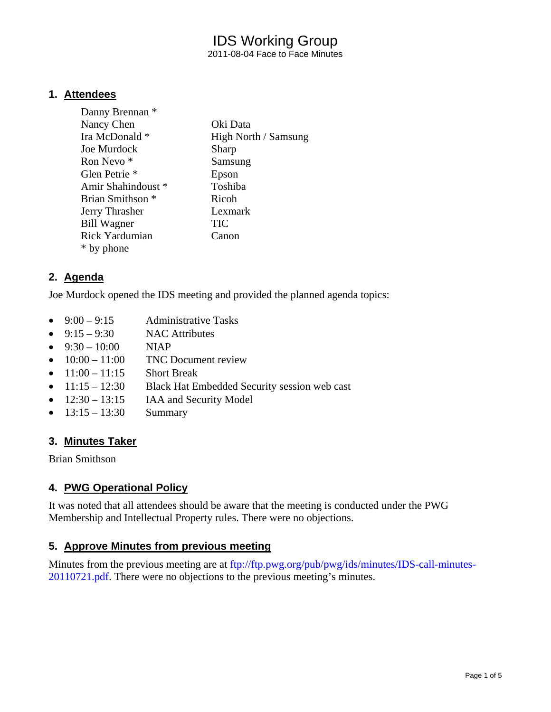2011-08-04 Face to Face Minutes

#### **1. Attendees**

| Danny Brennan *             |                      |
|-----------------------------|----------------------|
| Nancy Chen                  | Oki Data             |
| Ira McDonald *              | High North / Samsung |
| Joe Murdock                 | Sharp                |
| Ron Nevo <sup>*</sup>       | Samsung              |
| Glen Petrie <sup>*</sup>    | Epson                |
| Amir Shahindoust *          | Toshiba              |
| Brian Smithson <sup>*</sup> | Ricoh                |
| Jerry Thrasher              | Lexmark              |
| <b>Bill Wagner</b>          | <b>TIC</b>           |
| <b>Rick Yardumian</b>       | Canon                |
| * by phone                  |                      |

#### **2. Agenda**

Joe Murdock opened the IDS meeting and provided the planned agenda topics:

- $9:00 9:15$  Administrative Tasks
- $\bullet$  9:15 9:30 NAC Attributes
- $9:30 10:00$  NIAP
- $\bullet$  10:00 11:00 TNC Document review
- $11:00 11:15$  Short Break
- $11:15 12:30$  Black Hat Embedded Security session web cast
- $\bullet$  12:30 13:15 IAA and Security Model
- $13:15 13:30$  Summary

#### **3. Minutes Taker**

Brian Smithson

#### **4. PWG Operational Policy**

It was noted that all attendees should be aware that the meeting is conducted under the PWG Membership and Intellectual Property rules. There were no objections.

#### **5. Approve Minutes from previous meeting**

Minutes from the previous meeting are at ftp://ftp.pwg.org/pub/pwg/ids/minutes/IDS-call-minutes-20110721.pdf. There were no objections to the previous meeting's minutes.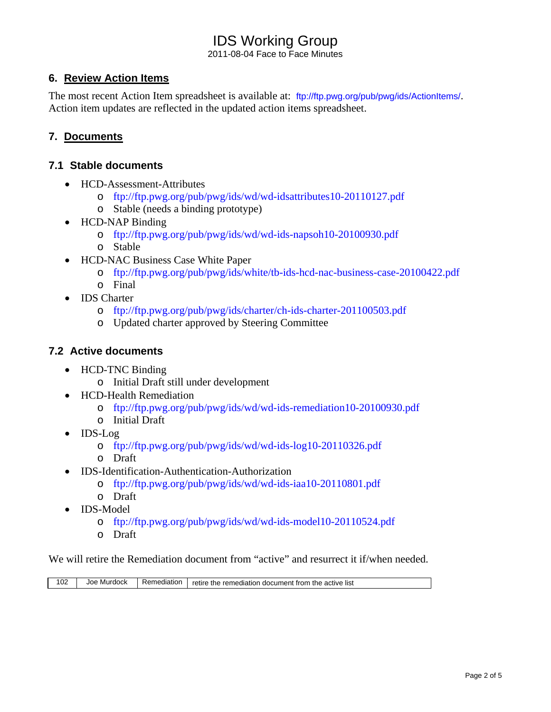2011-08-04 Face to Face Minutes

#### **6. Review Action Items**

The most recent Action Item spreadsheet is available at: ftp://ftp.pwg.org/pub/pwg/ids/ActionItems/. Action item updates are reflected in the updated action items spreadsheet.

#### **7. Documents**

#### **7.1 Stable documents**

- HCD-Assessment-Attributes
	- o ftp://ftp.pwg.org/pub/pwg/ids/wd/wd-idsattributes10-20110127.pdf
	- o Stable (needs a binding prototype)
- HCD-NAP Binding
	- o ftp://ftp.pwg.org/pub/pwg/ids/wd/wd-ids-napsoh10-20100930.pdf
	- o Stable
- HCD-NAC Business Case White Paper
	- o ftp://ftp.pwg.org/pub/pwg/ids/white/tb-ids-hcd-nac-business-case-20100422.pdf
	- o Final
- IDS Charter
	- o ftp://ftp.pwg.org/pub/pwg/ids/charter/ch-ids-charter-201100503.pdf
	- o Updated charter approved by Steering Committee

#### **7.2 Active documents**

- HCD-TNC Binding o Initial Draft still under development
- HCD-Health Remediation
	- o ftp://ftp.pwg.org/pub/pwg/ids/wd/wd-ids-remediation10-20100930.pdf
	- o Initial Draft
- IDS-Log
	- o ftp://ftp.pwg.org/pub/pwg/ids/wd/wd-ids-log10-20110326.pdf
	- o Draft
- IDS-Identification-Authentication-Authorization
	- o ftp://ftp.pwg.org/pub/pwg/ids/wd/wd-ids-iaa10-20110801.pdf
	- o Draft
- IDS-Model
	- o ftp://ftp.pwg.org/pub/pwg/ids/wd/wd-ids-model10-20110524.pdf
	- o Draft

We will retire the Remediation document from "active" and resurrect it if/when needed.

| 102 | Murdock<br>Joe | Remediation | the<br>⊦ document from the<br>remediation<br>retire<br>list<br>active |
|-----|----------------|-------------|-----------------------------------------------------------------------|
|-----|----------------|-------------|-----------------------------------------------------------------------|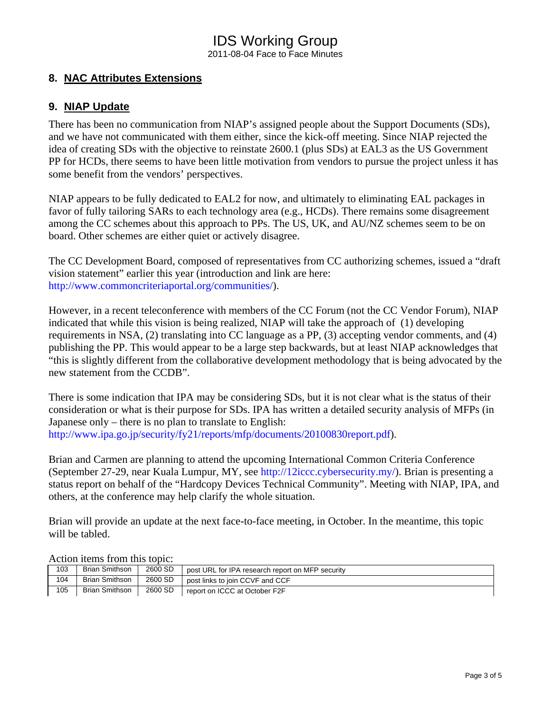2011-08-04 Face to Face Minutes

#### **8. NAC Attributes Extensions**

#### **9. NIAP Update**

There has been no communication from NIAP's assigned people about the Support Documents (SDs), and we have not communicated with them either, since the kick-off meeting. Since NIAP rejected the idea of creating SDs with the objective to reinstate 2600.1 (plus SDs) at EAL3 as the US Government PP for HCDs, there seems to have been little motivation from vendors to pursue the project unless it has some benefit from the vendors' perspectives.

NIAP appears to be fully dedicated to EAL2 for now, and ultimately to eliminating EAL packages in favor of fully tailoring SARs to each technology area (e.g., HCDs). There remains some disagreement among the CC schemes about this approach to PPs. The US, UK, and AU/NZ schemes seem to be on board. Other schemes are either quiet or actively disagree.

The CC Development Board, composed of representatives from CC authorizing schemes, issued a "draft vision statement" earlier this year (introduction and link are here: http://www.commoncriteriaportal.org/communities/).

However, in a recent teleconference with members of the CC Forum (not the CC Vendor Forum), NIAP indicated that while this vision is being realized, NIAP will take the approach of (1) developing requirements in NSA, (2) translating into CC language as a PP, (3) accepting vendor comments, and (4) publishing the PP. This would appear to be a large step backwards, but at least NIAP acknowledges that "this is slightly different from the collaborative development methodology that is being advocated by the new statement from the CCDB".

There is some indication that IPA may be considering SDs, but it is not clear what is the status of their consideration or what is their purpose for SDs. IPA has written a detailed security analysis of MFPs (in Japanese only – there is no plan to translate to English: http://www.ipa.go.jp/security/fy21/reports/mfp/documents/20100830report.pdf).

Brian and Carmen are planning to attend the upcoming International Common Criteria Conference (September 27-29, near Kuala Lumpur, MY, see http://12iccc.cybersecurity.my/). Brian is presenting a status report on behalf of the "Hardcopy Devices Technical Community". Meeting with NIAP, IPA, and others, at the conference may help clarify the whole situation.

Brian will provide an update at the next face-to-face meeting, in October. In the meantime, this topic will be tabled.

| TIRATUM TARIHU TIQIHI MITU AQDIRI |                       |         |                                                  |
|-----------------------------------|-----------------------|---------|--------------------------------------------------|
| 103                               | <b>Brian Smithson</b> | 2600 SD | post URL for IPA research report on MFP security |
| 104                               | <b>Brian Smithson</b> | 2600 SD | post links to join CCVF and CCF                  |
| 105                               | <b>Brian Smithson</b> | 2600 SD | report on ICCC at October F2F                    |

Action items from this topic: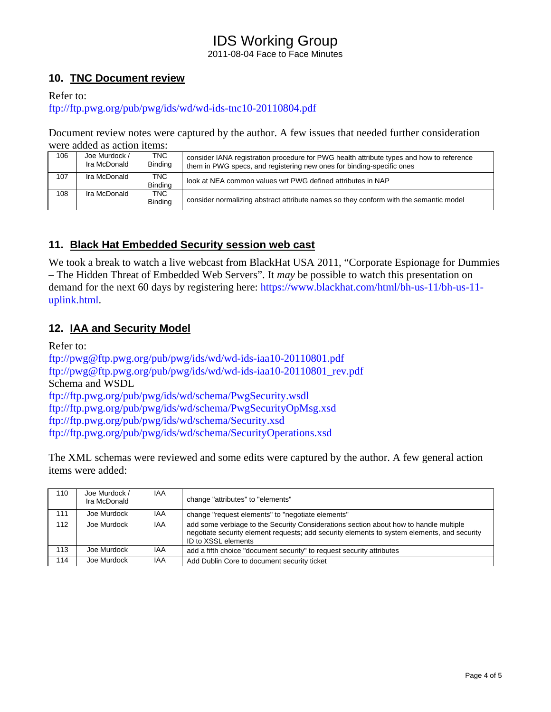#### IDS Working Group 2011-08-04 Face to Face Minutes

#### **10. TNC Document review**

Refer to:

ftp://ftp.pwg.org/pub/pwg/ids/wd/wd-ids-tnc10-20110804.pdf

Document review notes were captured by the author. A few issues that needed further consideration were added as action items:

| 106 | Joe Murdock /<br>Ira McDonald | TNC.<br><b>Binding</b> | consider IANA registration procedure for PWG health attribute types and how to reference<br>them in PWG specs, and registering new ones for binding-specific ones |
|-----|-------------------------------|------------------------|-------------------------------------------------------------------------------------------------------------------------------------------------------------------|
| 107 | Ira McDonald                  | TNC<br><b>Binding</b>  | look at NEA common values wrt PWG defined attributes in NAP                                                                                                       |
| 108 | Ira McDonald                  | TNC<br><b>Binding</b>  | consider normalizing abstract attribute names so they conform with the semantic model                                                                             |

#### **11. Black Hat Embedded Security session web cast**

We took a break to watch a live webcast from BlackHat USA 2011, "Corporate Espionage for Dummies" – The Hidden Threat of Embedded Web Servers". It *may* be possible to watch this presentation on demand for the next 60 days by registering here: https://www.blackhat.com/html/bh-us-11/bh-us-11 uplink.html.

#### **12. IAA and Security Model**

Refer to:

ftp://pwg@ftp.pwg.org/pub/pwg/ids/wd/wd-ids-iaa10-20110801.pdf ftp://pwg@ftp.pwg.org/pub/pwg/ids/wd/wd-ids-iaa10-20110801\_rev.pdf Schema and WSDL ftp://ftp.pwg.org/pub/pwg/ids/wd/schema/PwgSecurity.wsdl ftp://ftp.pwg.org/pub/pwg/ids/wd/schema/PwgSecurityOpMsg.xsd ftp://ftp.pwg.org/pub/pwg/ids/wd/schema/Security.xsd ftp://ftp.pwg.org/pub/pwg/ids/wd/schema/SecurityOperations.xsd

The XML schemas were reviewed and some edits were captured by the author. A few general action items were added:

| 110 | Joe Murdock /<br>Ira McDonald | <b>IAA</b> | change "attributes" to "elements"                                                                                                                                                                           |
|-----|-------------------------------|------------|-------------------------------------------------------------------------------------------------------------------------------------------------------------------------------------------------------------|
| 111 | Joe Murdock                   | IAA        | change "request elements" to "negotiate elements"                                                                                                                                                           |
| 112 | Joe Murdock                   | IAA        | add some verbiage to the Security Considerations section about how to handle multiple<br>negotiate security element requests; add security elements to system elements, and security<br>ID to XSSL elements |
| 113 | Joe Murdock                   | <b>IAA</b> | add a fifth choice "document security" to request security attributes                                                                                                                                       |
| 114 | Joe Murdock                   | <b>IAA</b> | Add Dublin Core to document security ticket                                                                                                                                                                 |